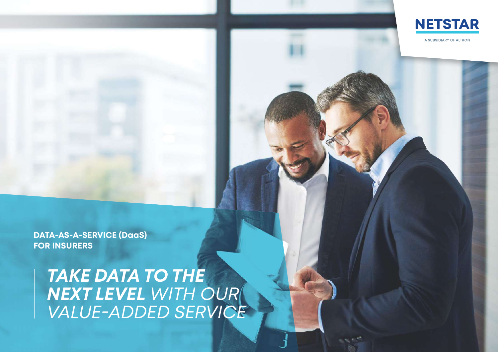

A SUBSIDIARY OF ALTRON

**DATA-AS-A-SERVICE (DaaS) FOR INSURERS**

> *TAKE DATA TO THE NEXT LEVEL WITH OUR VALUE-ADDED SERVICE*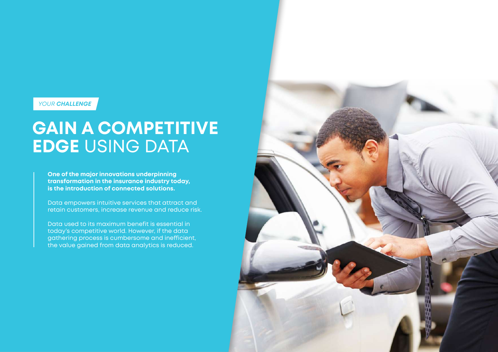*YOUR CHALLENGE*

## **GAIN A COMPETITIVE EDGE** USING DATA

**One of the major innovations underpinning transformation in the insurance industry today, is the introduction of connected solutions.**

Data empowers intuitive services that attract and retain customers, increase revenue and reduce risk.

Data used to its maximum benefit is essential in today's competitive world. However, if the data gathering process is cumbersome and inefficient, the value gained from data analytics is reduced.

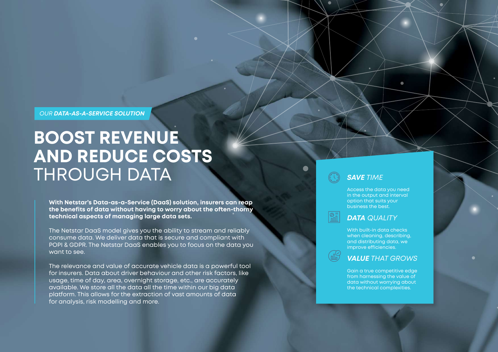*OUR DATA-AS-A-SERVICE SOLUTION*

# **BOOST REVENUE AND REDUCE COSTS**  THROUGH DATA

**With Netstar's Data-as-a-Service (DaaS) solution, insurers can reap the benefits of data without having to worry about the often-thorny technical aspects of managing large data sets.** 

The Netstar DaaS model gives you the ability to stream and reliably consume data. We deliver data that is secure and compliant with POPI & GDPR. The Netstar DaaS enables you to focus on the data you want to see.

The relevance and value of accurate vehicle data is a powerful tool for insurers. Data about driver behaviour and other risk factors, like usage, time of day, area, overnight storage, etc., are accurately available. We store all the data all the time within our big data platform. This allows for the extraction of vast amounts of data for analysis, risk modelling and more.

### *SAVE TIME*

Access the data you need in the output and interval option that suits your business the best.

 $\bullet$ 

*DATA QUALITY*

With built-in data checks when cleaning, describing, and distributing data, we improve efficiencies.

*VALUE THAT GROWS*

Gain a true competitive edge from harnessing the value of data without worrying about the technical complexities.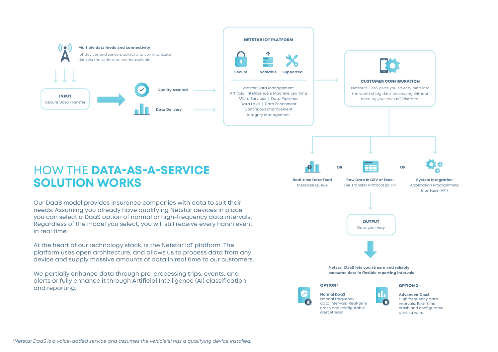

*\*Netstar DaaS is a value-added service and assumes the vehicle(s) has a qualifying device installed.*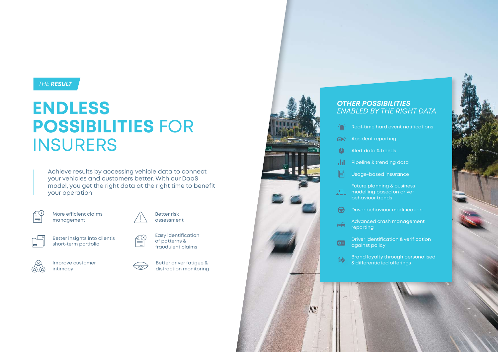#### *THE RESULT*

# **ENDLESS POSSIBILITIES** FOR **INSURERS**

Achieve results by accessing vehicle data to connect your vehicles and customers better. With our DaaS model, you get the right data at the right time to benefit your operation



More efficient claims management



Better insights into client's short-term portfolio







 $\begin{picture}(40,40) \put(0,0){\line(1,0){15}} \put(15,0){\line(1,0){15}} \put(15,0){\line(1,0){15}} \put(15,0){\line(1,0){15}} \put(15,0){\line(1,0){15}} \put(15,0){\line(1,0){15}} \put(15,0){\line(1,0){15}} \put(15,0){\line(1,0){15}} \put(15,0){\line(1,0){15}} \put(15,0){\line(1,0){15}} \put(15,0){\line(1,0){15}} \put(15,0){\line(1$ 

Better driver fatigue & distraction monitoring

Easy identification of patterns & fraudulent claims

Better risk assessment



Illie

#### *OTHER POSSIBILITIES ENABLED BY THE RIGHT DATA*

- ٠Ő Real-time hard event notifications
- $\Box$ Accident reporting
- $\bullet$ Alert data & trends
- Pipeline & trending data Ja.
- $\mathbb{R}$ Usage-based insurance

Future planning & business modelling based on driver  $\mathbb{R}$ behaviour trends

 $\Theta$ Driver behaviour modification

Advanced crash management  $\ominus$ **reporting** 

Driver identification & verification  $Q \equiv$ against policy

Brand loyalty through personalised  $\bigoplus$ & differentiated offerings